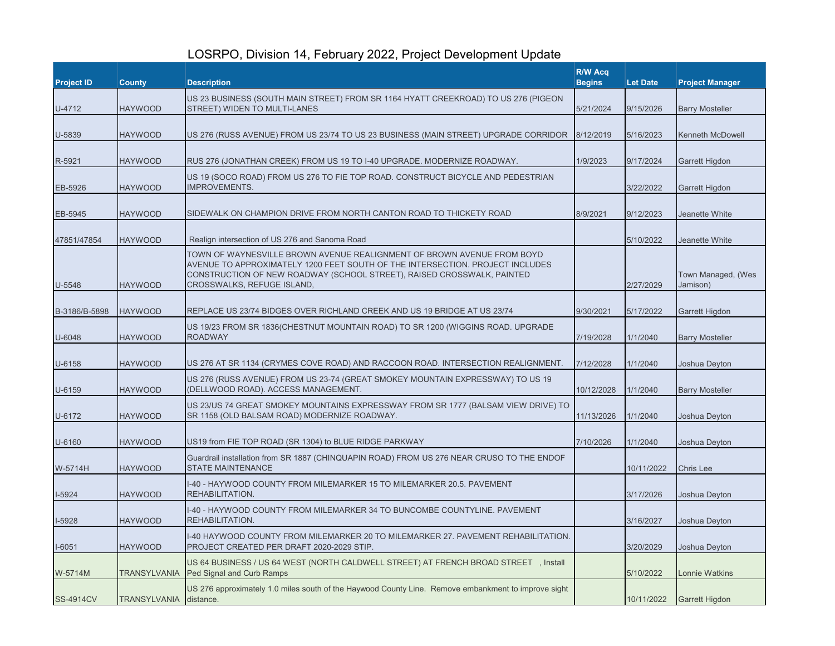## LOSRPO, Division 14, February 2022, Project Development Update

| <b>Project ID</b> | <b>County</b>          | <b>Description</b>                                                                                                                                                                                                                                              | R/W Acq<br><b>Begins</b> | <b>Let Date</b> | <b>Project Manager</b>         |
|-------------------|------------------------|-----------------------------------------------------------------------------------------------------------------------------------------------------------------------------------------------------------------------------------------------------------------|--------------------------|-----------------|--------------------------------|
| U-4712            | <b>HAYWOOD</b>         | US 23 BUSINESS (SOUTH MAIN STREET) FROM SR 1164 HYATT CREEKROAD) TO US 276 (PIGEON<br>STREET) WIDEN TO MULTI-LANES                                                                                                                                              | 5/21/2024                | 9/15/2026       | <b>Barry Mosteller</b>         |
| U-5839            | <b>HAYWOOD</b>         | US 276 (RUSS AVENUE) FROM US 23/74 TO US 23 BUSINESS (MAIN STREET) UPGRADE CORRIDOR                                                                                                                                                                             | 8/12/2019                | 5/16/2023       | <b>Kenneth McDowell</b>        |
| R-5921            | <b>HAYWOOD</b>         | RUS 276 (JONATHAN CREEK) FROM US 19 TO I-40 UPGRADE. MODERNIZE ROADWAY.                                                                                                                                                                                         | 1/9/2023                 | 9/17/2024       | Garrett Higdon                 |
| EB-5926           | <b>HAYWOOD</b>         | US 19 (SOCO ROAD) FROM US 276 TO FIE TOP ROAD. CONSTRUCT BICYCLE AND PEDESTRIAN<br><b>IMPROVEMENTS.</b>                                                                                                                                                         |                          | 3/22/2022       | Garrett Higdon                 |
| EB-5945           | <b>HAYWOOD</b>         | SIDEWALK ON CHAMPION DRIVE FROM NORTH CANTON ROAD TO THICKETY ROAD                                                                                                                                                                                              | 8/9/2021                 | 9/12/2023       | Jeanette White                 |
| 47851/47854       | <b>HAYWOOD</b>         | Realign intersection of US 276 and Sanoma Road                                                                                                                                                                                                                  |                          | 5/10/2022       | Jeanette White                 |
| U-5548            | <b>HAYWOOD</b>         | TOWN OF WAYNESVILLE BROWN AVENUE REALIGNMENT OF BROWN AVENUE FROM BOYD<br>AVENUE TO APPROXIMATELY 1200 FEET SOUTH OF THE INTERSECTION. PROJECT INCLUDES<br>CONSTRUCTION OF NEW ROADWAY (SCHOOL STREET), RAISED CROSSWALK, PAINTED<br>CROSSWALKS, REFUGE ISLAND, |                          | 2/27/2029       | Town Managed, (Wes<br>Jamison) |
| B-3186/B-5898     | <b>HAYWOOD</b>         | REPLACE US 23/74 BIDGES OVER RICHLAND CREEK AND US 19 BRIDGE AT US 23/74                                                                                                                                                                                        | 9/30/2021                | 5/17/2022       | <b>Garrett Higdon</b>          |
| U-6048            | <b>HAYWOOD</b>         | US 19/23 FROM SR 1836(CHESTNUT MOUNTAIN ROAD) TO SR 1200 (WIGGINS ROAD. UPGRADE<br><b>ROADWAY</b>                                                                                                                                                               | 7/19/2028                | 1/1/2040        | <b>Barry Mosteller</b>         |
| U-6158            | <b>HAYWOOD</b>         | US 276 AT SR 1134 (CRYMES COVE ROAD) AND RACCOON ROAD. INTERSECTION REALIGNMENT.                                                                                                                                                                                | 7/12/2028                | 1/1/2040        | Joshua Deyton                  |
| U-6159            | <b>HAYWOOD</b>         | US 276 (RUSS AVENUE) FROM US 23-74 (GREAT SMOKEY MOUNTAIN EXPRESSWAY) TO US 19<br>(DELLWOOD ROAD). ACCESS MANAGEMENT.                                                                                                                                           | 10/12/2028               | 1/1/2040        | <b>Barry Mosteller</b>         |
| U-6172            | <b>HAYWOOD</b>         | US 23/US 74 GREAT SMOKEY MOUNTAINS EXPRESSWAY FROM SR 1777 (BALSAM VIEW DRIVE) TO<br>SR 1158 (OLD BALSAM ROAD) MODERNIZE ROADWAY.                                                                                                                               | 11/13/2026               | 1/1/2040        | Joshua Deyton                  |
| U-6160            | <b>HAYWOOD</b>         | US19 from FIE TOP ROAD (SR 1304) to BLUE RIDGE PARKWAY                                                                                                                                                                                                          | 7/10/2026                | 1/1/2040        | Joshua Deyton                  |
| W-5714H           | <b>HAYWOOD</b>         | Guardrail installation from SR 1887 (CHINQUAPIN ROAD) FROM US 276 NEAR CRUSO TO THE ENDOF<br><b>STATE MAINTENANCE</b>                                                                                                                                           |                          | 10/11/2022      | Chris Lee                      |
| I-5924            | <b>HAYWOOD</b>         | I-40 - HAYWOOD COUNTY FROM MILEMARKER 15 TO MILEMARKER 20.5. PAVEMENT<br>REHABILITATION.                                                                                                                                                                        |                          | 3/17/2026       | Joshua Deyton                  |
| I-5928            | <b>HAYWOOD</b>         | I-40 - HAYWOOD COUNTY FROM MILEMARKER 34 TO BUNCOMBE COUNTYLINE. PAVEMENT<br>REHABILITATION.                                                                                                                                                                    |                          | 3/16/2027       | Joshua Deyton                  |
| I-6051            | <b>HAYWOOD</b>         | 1-40 HAYWOOD COUNTY FROM MILEMARKER 20 TO MILEMARKER 27. PAVEMENT REHABILITATION.<br>PROJECT CREATED PER DRAFT 2020-2029 STIP.                                                                                                                                  |                          | 3/20/2029       | Joshua Deyton                  |
| W-5714M           |                        | US 64 BUSINESS / US 64 WEST (NORTH CALDWELL STREET) AT FRENCH BROAD STREET, Install<br>TRANSYLVANIA Ped Signal and Curb Ramps                                                                                                                                   |                          | 5/10/2022       | <b>Lonnie Watkins</b>          |
| <b>SS-4914CV</b>  | TRANSYLVANIA distance. | US 276 approximately 1.0 miles south of the Haywood County Line. Remove embankment to improve sight                                                                                                                                                             |                          | 10/11/2022      | <b>Garrett Higdon</b>          |